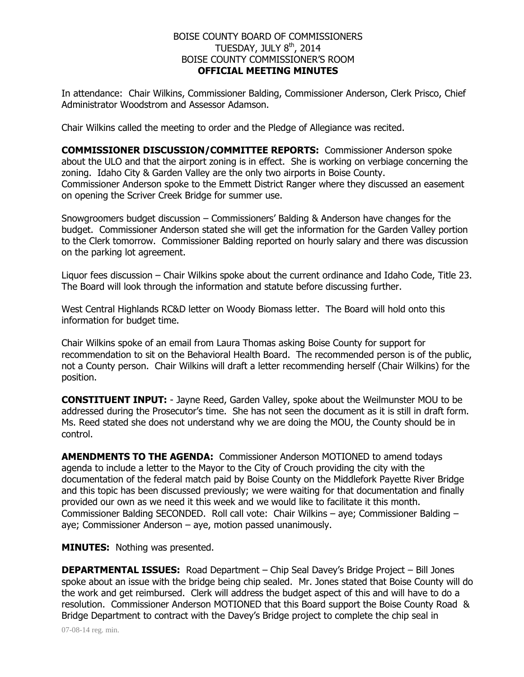## BOISE COUNTY BOARD OF COMMISSIONERS TUESDAY, JULY  $8<sup>th</sup>$ , 2014 BOISE COUNTY COMMISSIONER'S ROOM **OFFICIAL MEETING MINUTES**

In attendance: Chair Wilkins, Commissioner Balding, Commissioner Anderson, Clerk Prisco, Chief Administrator Woodstrom and Assessor Adamson.

Chair Wilkins called the meeting to order and the Pledge of Allegiance was recited.

**COMMISSIONER DISCUSSION/COMMITTEE REPORTS:** Commissioner Anderson spoke about the ULO and that the airport zoning is in effect. She is working on verbiage concerning the zoning. Idaho City & Garden Valley are the only two airports in Boise County. Commissioner Anderson spoke to the Emmett District Ranger where they discussed an easement on opening the Scriver Creek Bridge for summer use.

Snowgroomers budget discussion – Commissioners' Balding & Anderson have changes for the budget. Commissioner Anderson stated she will get the information for the Garden Valley portion to the Clerk tomorrow. Commissioner Balding reported on hourly salary and there was discussion on the parking lot agreement.

Liquor fees discussion – Chair Wilkins spoke about the current ordinance and Idaho Code, Title 23. The Board will look through the information and statute before discussing further.

West Central Highlands RC&D letter on Woody Biomass letter. The Board will hold onto this information for budget time.

Chair Wilkins spoke of an email from Laura Thomas asking Boise County for support for recommendation to sit on the Behavioral Health Board. The recommended person is of the public, not a County person. Chair Wilkins will draft a letter recommending herself (Chair Wilkins) for the position.

**CONSTITUENT INPUT:** - Jayne Reed, Garden Valley, spoke about the Weilmunster MOU to be addressed during the Prosecutor's time. She has not seen the document as it is still in draft form. Ms. Reed stated she does not understand why we are doing the MOU, the County should be in control.

**AMENDMENTS TO THE AGENDA:** Commissioner Anderson MOTIONED to amend todays agenda to include a letter to the Mayor to the City of Crouch providing the city with the documentation of the federal match paid by Boise County on the Middlefork Payette River Bridge and this topic has been discussed previously; we were waiting for that documentation and finally provided our own as we need it this week and we would like to facilitate it this month. Commissioner Balding SECONDED. Roll call vote: Chair Wilkins – aye; Commissioner Balding – aye; Commissioner Anderson – aye, motion passed unanimously.

**MINUTES:** Nothing was presented.

**DEPARTMENTAL ISSUES:** Road Department – Chip Seal Davey's Bridge Project – Bill Jones spoke about an issue with the bridge being chip sealed. Mr. Jones stated that Boise County will do the work and get reimbursed. Clerk will address the budget aspect of this and will have to do a resolution. Commissioner Anderson MOTIONED that this Board support the Boise County Road & Bridge Department to contract with the Davey's Bridge project to complete the chip seal in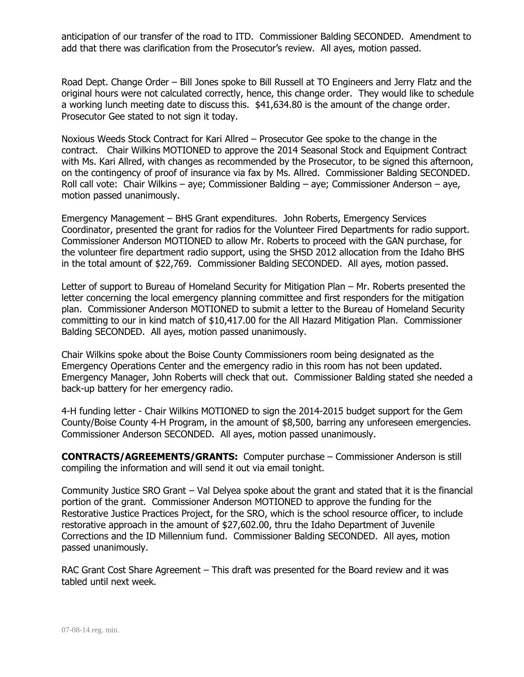anticipation of our transfer of the road to ITD. Commissioner Balding SECONDED. Amendment to add that there was clarification from the Prosecutor's review. All ayes, motion passed.

Road Dept. Change Order – Bill Jones spoke to Bill Russell at TO Engineers and Jerry Flatz and the original hours were not calculated correctly, hence, this change order. They would like to schedule a working lunch meeting date to discuss this. \$41,634.80 is the amount of the change order. Prosecutor Gee stated to not sign it today.

Noxious Weeds Stock Contract for Kari Allred – Prosecutor Gee spoke to the change in the contract. Chair Wilkins MOTIONED to approve the 2014 Seasonal Stock and Equipment Contract with Ms. Kari Allred, with changes as recommended by the Prosecutor, to be signed this afternoon, on the contingency of proof of insurance via fax by Ms. Allred. Commissioner Balding SECONDED. Roll call vote: Chair Wilkins – aye; Commissioner Balding – aye; Commissioner Anderson – aye, motion passed unanimously.

Emergency Management – BHS Grant expenditures. John Roberts, Emergency Services Coordinator, presented the grant for radios for the Volunteer Fired Departments for radio support. Commissioner Anderson MOTIONED to allow Mr. Roberts to proceed with the GAN purchase, for the volunteer fire department radio support, using the SHSD 2012 allocation from the Idaho BHS in the total amount of \$22,769. Commissioner Balding SECONDED. All ayes, motion passed.

Letter of support to Bureau of Homeland Security for Mitigation Plan – Mr. Roberts presented the letter concerning the local emergency planning committee and first responders for the mitigation plan. Commissioner Anderson MOTIONED to submit a letter to the Bureau of Homeland Security committing to our in kind match of \$10,417.00 for the All Hazard Mitigation Plan. Commissioner Balding SECONDED. All ayes, motion passed unanimously.

Chair Wilkins spoke about the Boise County Commissioners room being designated as the Emergency Operations Center and the emergency radio in this room has not been updated. Emergency Manager, John Roberts will check that out. Commissioner Balding stated she needed a back-up battery for her emergency radio.

4-H funding letter - Chair Wilkins MOTIONED to sign the 2014-2015 budget support for the Gem County/Boise County 4-H Program, in the amount of \$8,500, barring any unforeseen emergencies. Commissioner Anderson SECONDED. All ayes, motion passed unanimously.

**CONTRACTS/AGREEMENTS/GRANTS:** Computer purchase – Commissioner Anderson is still compiling the information and will send it out via email tonight.

Community Justice SRO Grant – Val Delyea spoke about the grant and stated that it is the financial portion of the grant. Commissioner Anderson MOTIONED to approve the funding for the Restorative Justice Practices Project, for the SRO, which is the school resource officer, to include restorative approach in the amount of \$27,602.00, thru the Idaho Department of Juvenile Corrections and the ID Millennium fund. Commissioner Balding SECONDED. All ayes, motion passed unanimously.

RAC Grant Cost Share Agreement – This draft was presented for the Board review and it was tabled until next week.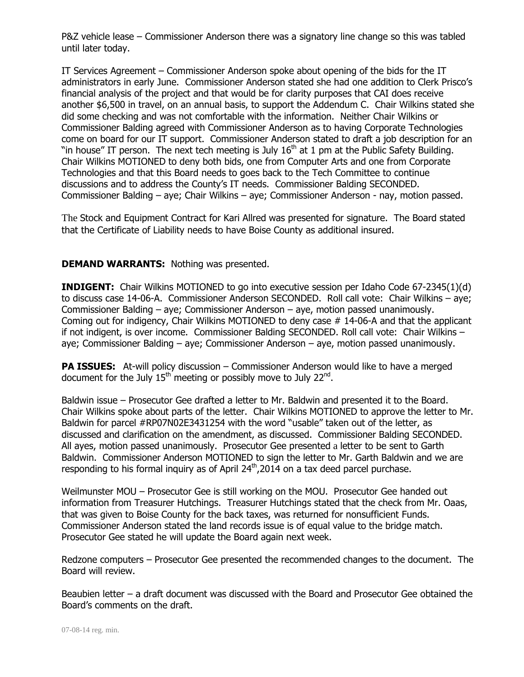P&Z vehicle lease – Commissioner Anderson there was a signatory line change so this was tabled until later today.

IT Services Agreement – Commissioner Anderson spoke about opening of the bids for the IT administrators in early June. Commissioner Anderson stated she had one addition to Clerk Prisco's financial analysis of the project and that would be for clarity purposes that CAI does receive another \$6,500 in travel, on an annual basis, to support the Addendum C. Chair Wilkins stated she did some checking and was not comfortable with the information. Neither Chair Wilkins or Commissioner Balding agreed with Commissioner Anderson as to having Corporate Technologies come on board for our IT support. Commissioner Anderson stated to draft a job description for an "in house" IT person. The next tech meeting is July  $16<sup>th</sup>$  at 1 pm at the Public Safety Building. Chair Wilkins MOTIONED to deny both bids, one from Computer Arts and one from Corporate Technologies and that this Board needs to goes back to the Tech Committee to continue discussions and to address the County's IT needs. Commissioner Balding SECONDED. Commissioner Balding – aye; Chair Wilkins – aye; Commissioner Anderson - nay, motion passed.

The Stock and Equipment Contract for Kari Allred was presented for signature. The Board stated that the Certificate of Liability needs to have Boise County as additional insured.

## **DEMAND WARRANTS:** Nothing was presented.

**INDIGENT:** Chair Wilkins MOTIONED to go into executive session per Idaho Code 67-2345(1)(d) to discuss case 14-06-A. Commissioner Anderson SECONDED. Roll call vote: Chair Wilkins – aye; Commissioner Balding – aye; Commissioner Anderson – aye, motion passed unanimously. Coming out for indigency, Chair Wilkins MOTIONED to deny case # 14-06-A and that the applicant if not indigent, is over income. Commissioner Balding SECONDED. Roll call vote: Chair Wilkins – aye; Commissioner Balding – aye; Commissioner Anderson – aye, motion passed unanimously.

**PA ISSUES:** At-will policy discussion – Commissioner Anderson would like to have a merged document for the July  $15<sup>th</sup>$  meeting or possibly move to July 22 $<sup>nd</sup>$ .</sup>

Baldwin issue – Prosecutor Gee drafted a letter to Mr. Baldwin and presented it to the Board. Chair Wilkins spoke about parts of the letter. Chair Wilkins MOTIONED to approve the letter to Mr. Baldwin for parcel #RP07N02E3431254 with the word "usable" taken out of the letter, as discussed and clarification on the amendment, as discussed. Commissioner Balding SECONDED. All ayes, motion passed unanimously. Prosecutor Gee presented a letter to be sent to Garth Baldwin. Commissioner Anderson MOTIONED to sign the letter to Mr. Garth Baldwin and we are responding to his formal inquiry as of April  $24<sup>th</sup>$ ,2014 on a tax deed parcel purchase.

Weilmunster MOU – Prosecutor Gee is still working on the MOU. Prosecutor Gee handed out information from Treasurer Hutchings. Treasurer Hutchings stated that the check from Mr. Oaas, that was given to Boise County for the back taxes, was returned for nonsufficient Funds. Commissioner Anderson stated the land records issue is of equal value to the bridge match. Prosecutor Gee stated he will update the Board again next week.

Redzone computers – Prosecutor Gee presented the recommended changes to the document. The Board will review.

Beaubien letter – a draft document was discussed with the Board and Prosecutor Gee obtained the Board's comments on the draft.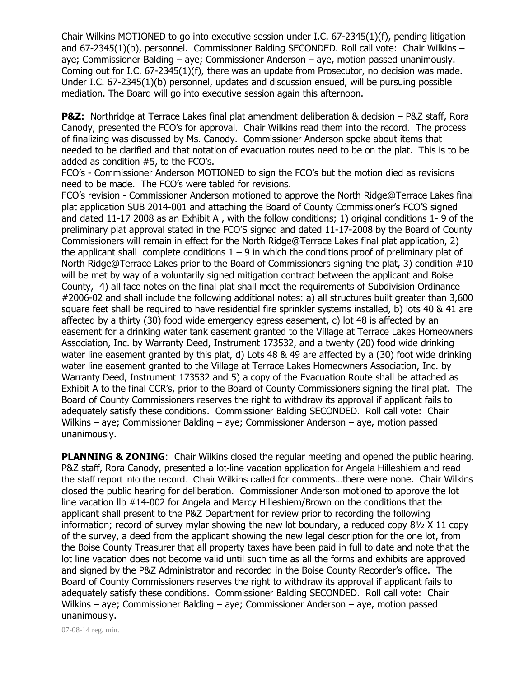Chair Wilkins MOTIONED to go into executive session under I.C. 67-2345(1)(f), pending litigation and 67-2345(1)(b), personnel. Commissioner Balding SECONDED. Roll call vote: Chair Wilkins – aye; Commissioner Balding – aye; Commissioner Anderson – aye, motion passed unanimously. Coming out for I.C. 67-2345(1)(f), there was an update from Prosecutor, no decision was made. Under I.C. 67-2345(1)(b) personnel, updates and discussion ensued, will be pursuing possible mediation. The Board will go into executive session again this afternoon.

**P&Z:** Northridge at Terrace Lakes final plat amendment deliberation & decision – P&Z staff, Rora Canody, presented the FCO's for approval. Chair Wilkins read them into the record. The process of finalizing was discussed by Ms. Canody. Commissioner Anderson spoke about items that needed to be clarified and that notation of evacuation routes need to be on the plat. This is to be added as condition #5, to the FCO's.

FCO's - Commissioner Anderson MOTIONED to sign the FCO's but the motion died as revisions need to be made. The FCO's were tabled for revisions.

FCO's revision - Commissioner Anderson motioned to approve the North Ridge@Terrace Lakes final plat application SUB 2014-001 and attaching the Board of County Commissioner's FCO'S signed and dated 11-17 2008 as an Exhibit A , with the follow conditions; 1) original conditions 1- 9 of the preliminary plat approval stated in the FCO'S signed and dated 11-17-2008 by the Board of County Commissioners will remain in effect for the North Ridge@Terrace Lakes final plat application, 2) the applicant shall complete conditions  $1 - 9$  in which the conditions proof of preliminary plat of North Ridge@Terrace Lakes prior to the Board of Commissioners signing the plat, 3) condition #10 will be met by way of a voluntarily signed mitigation contract between the applicant and Boise County, 4) all face notes on the final plat shall meet the requirements of Subdivision Ordinance #2006-02 and shall include the following additional notes: a) all structures built greater than 3,600 square feet shall be required to have residential fire sprinkler systems installed, b) lots 40 & 41 are affected by a thirty (30) food wide emergency egress easement, c) lot 48 is affected by an easement for a drinking water tank easement granted to the Village at Terrace Lakes Homeowners Association, Inc. by Warranty Deed, Instrument 173532, and a twenty (20) food wide drinking water line easement granted by this plat, d) Lots 48 & 49 are affected by a (30) foot wide drinking water line easement granted to the Village at Terrace Lakes Homeowners Association, Inc. by Warranty Deed, Instrument 173532 and 5) a copy of the Evacuation Route shall be attached as Exhibit A to the final CCR's, prior to the Board of County Commissioners signing the final plat. The Board of County Commissioners reserves the right to withdraw its approval if applicant fails to adequately satisfy these conditions. Commissioner Balding SECONDED. Roll call vote: Chair Wilkins – aye; Commissioner Balding – aye; Commissioner Anderson – aye, motion passed unanimously.

**PLANNING & ZONING:** Chair Wilkins closed the regular meeting and opened the public hearing. P&Z staff, Rora Canody, presented a lot-line vacation application for Angela Hilleshiem and read the staff report into the record. Chair Wilkins called for comments…there were none. Chair Wilkins closed the public hearing for deliberation. Commissioner Anderson motioned to approve the lot line vacation llb #14-002 for Angela and Marcy Hilleshiem/Brown on the conditions that the applicant shall present to the P&Z Department for review prior to recording the following information; record of survey mylar showing the new lot boundary, a reduced copy  $8\frac{1}{2}$  X 11 copy of the survey, a deed from the applicant showing the new legal description for the one lot, from the Boise County Treasurer that all property taxes have been paid in full to date and note that the lot line vacation does not become valid until such time as all the forms and exhibits are approved and signed by the P&Z Administrator and recorded in the Boise County Recorder's office. The Board of County Commissioners reserves the right to withdraw its approval if applicant fails to adequately satisfy these conditions. Commissioner Balding SECONDED. Roll call vote: Chair Wilkins – aye; Commissioner Balding – aye; Commissioner Anderson – aye, motion passed unanimously.

07-08-14 reg. min.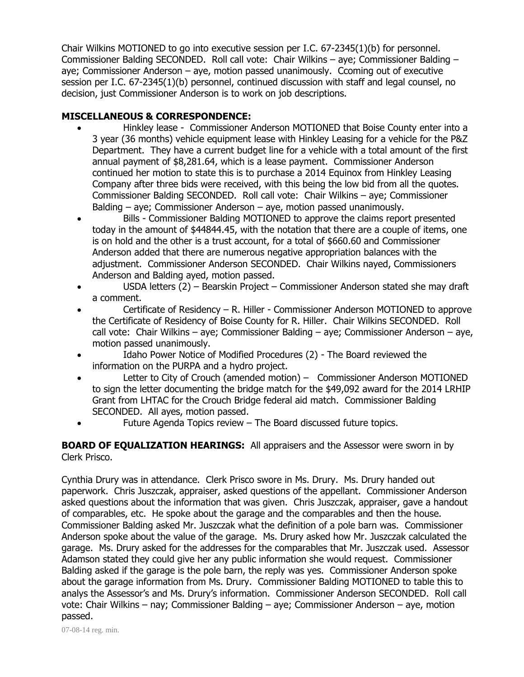Chair Wilkins MOTIONED to go into executive session per I.C. 67-2345(1)(b) for personnel. Commissioner Balding SECONDED. Roll call vote: Chair Wilkins – aye; Commissioner Balding – aye; Commissioner Anderson – aye, motion passed unanimously. Ccoming out of executive session per I.C. 67-2345(1)(b) personnel, continued discussion with staff and legal counsel, no decision, just Commissioner Anderson is to work on job descriptions.

## **MISCELLANEOUS & CORRESPONDENCE:**

- Hinkley lease Commissioner Anderson MOTIONED that Boise County enter into a 3 year (36 months) vehicle equipment lease with Hinkley Leasing for a vehicle for the P&Z Department. They have a current budget line for a vehicle with a total amount of the first annual payment of \$8,281.64, which is a lease payment. Commissioner Anderson continued her motion to state this is to purchase a 2014 Equinox from Hinkley Leasing Company after three bids were received, with this being the low bid from all the quotes. Commissioner Balding SECONDED. Roll call vote: Chair Wilkins – aye; Commissioner Balding – aye; Commissioner Anderson – aye, motion passed unanimously.
- Bills Commissioner Balding MOTIONED to approve the claims report presented today in the amount of \$44844.45, with the notation that there are a couple of items, one is on hold and the other is a trust account, for a total of \$660.60 and Commissioner Anderson added that there are numerous negative appropriation balances with the adjustment. Commissioner Anderson SECONDED. Chair Wilkins nayed, Commissioners Anderson and Balding ayed, motion passed.
- USDA letters (2) Bearskin Project Commissioner Anderson stated she may draft a comment.
- Certificate of Residency R. Hiller Commissioner Anderson MOTIONED to approve the Certificate of Residency of Boise County for R. Hiller. Chair Wilkins SECONDED. Roll call vote: Chair Wilkins – aye; Commissioner Balding – aye; Commissioner Anderson – aye, motion passed unanimously.
- Idaho Power Notice of Modified Procedures (2) The Board reviewed the information on the PURPA and a hydro project.
- Letter to City of Crouch (amended motion) Commissioner Anderson MOTIONED to sign the letter documenting the bridge match for the \$49,092 award for the 2014 LRHIP Grant from LHTAC for the Crouch Bridge federal aid match. Commissioner Balding SECONDED. All ayes, motion passed.
- Future Agenda Topics review The Board discussed future topics.

**BOARD OF EQUALIZATION HEARINGS:** All appraisers and the Assessor were sworn in by Clerk Prisco.

Cynthia Drury was in attendance. Clerk Prisco swore in Ms. Drury. Ms. Drury handed out paperwork. Chris Juszczak, appraiser, asked questions of the appellant. Commissioner Anderson asked questions about the information that was given. Chris Juszczak, appraiser, gave a handout of comparables, etc. He spoke about the garage and the comparables and then the house. Commissioner Balding asked Mr. Juszczak what the definition of a pole barn was. Commissioner Anderson spoke about the value of the garage. Ms. Drury asked how Mr. Juszczak calculated the garage. Ms. Drury asked for the addresses for the comparables that Mr. Juszczak used. Assessor Adamson stated they could give her any public information she would request. Commissioner Balding asked if the garage is the pole barn, the reply was yes. Commissioner Anderson spoke about the garage information from Ms. Drury. Commissioner Balding MOTIONED to table this to analys the Assessor's and Ms. Drury's information. Commissioner Anderson SECONDED. Roll call vote: Chair Wilkins – nay; Commissioner Balding – aye; Commissioner Anderson – aye, motion passed.